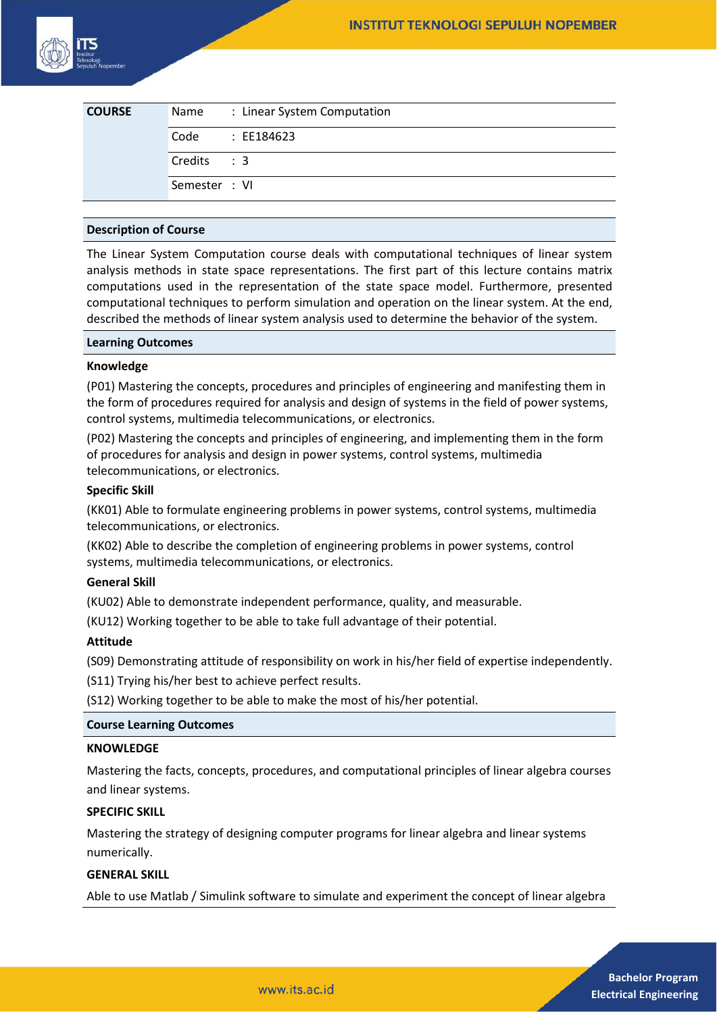| <b>COURSE</b> | Name          | : Linear System Computation |
|---------------|---------------|-----------------------------|
|               | Code          | : EE184623                  |
|               | Credits : 3   |                             |
|               | Semester : VI |                             |

## **Description of Course**

The Linear System Computation course deals with computational techniques of linear system analysis methods in state space representations. The first part of this lecture contains matrix computations used in the representation of the state space model. Furthermore, presented computational techniques to perform simulation and operation on the linear system. At the end, described the methods of linear system analysis used to determine the behavior of the system.

#### **Learning Outcomes**

## **Knowledge**

(P01) Mastering the concepts, procedures and principles of engineering and manifesting them in the form of procedures required for analysis and design of systems in the field of power systems, control systems, multimedia telecommunications, or electronics.

(P02) Mastering the concepts and principles of engineering, and implementing them in the form of procedures for analysis and design in power systems, control systems, multimedia telecommunications, or electronics.

## **Specific Skill**

(KK01) Able to formulate engineering problems in power systems, control systems, multimedia telecommunications, or electronics.

(KK02) Able to describe the completion of engineering problems in power systems, control systems, multimedia telecommunications, or electronics.

# **General Skill**

(KU02) Able to demonstrate independent performance, quality, and measurable.

(KU12) Working together to be able to take full advantage of their potential.

# **Attitude**

(S09) Demonstrating attitude of responsibility on work in his/her field of expertise independently.

(S11) Trying his/her best to achieve perfect results.

(S12) Working together to be able to make the most of his/her potential.

#### **Course Learning Outcomes**

#### **KNOWLEDGE**

Mastering the facts, concepts, procedures, and computational principles of linear algebra courses and linear systems.

#### **SPECIFIC SKILL**

Mastering the strategy of designing computer programs for linear algebra and linear systems numerically.

#### **GENERAL SKILL**

Able to use Matlab / Simulink software to simulate and experiment the concept of linear algebra